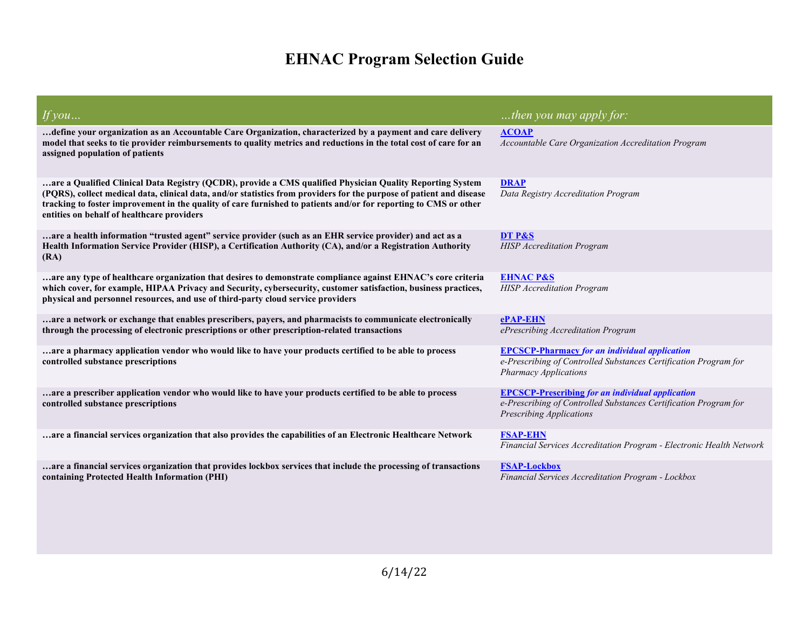## **EHNAC Program Selection Guide**

| If you                                                                                                                                                                                                                                                                                                                                                                                              | then you may apply for:                                                                                                                                  |
|-----------------------------------------------------------------------------------------------------------------------------------------------------------------------------------------------------------------------------------------------------------------------------------------------------------------------------------------------------------------------------------------------------|----------------------------------------------------------------------------------------------------------------------------------------------------------|
| define your organization as an Accountable Care Organization, characterized by a payment and care delivery.<br>model that seeks to tie provider reimbursements to quality metrics and reductions in the total cost of care for an<br>assigned population of patients                                                                                                                                | <b>ACOAP</b><br>Accountable Care Organization Accreditation Program                                                                                      |
| are a Qualified Clinical Data Registry (QCDR), provide a CMS qualified Physician Quality Reporting System<br>(PQRS), collect medical data, clinical data, and/or statistics from providers for the purpose of patient and disease<br>tracking to foster improvement in the quality of care furnished to patients and/or for reporting to CMS or other<br>entities on behalf of healthcare providers | <b>DRAP</b><br>Data Registry Accreditation Program                                                                                                       |
| are a health information "trusted agent" service provider (such as an EHR service provider) and act as a<br>Health Information Service Provider (HISP), a Certification Authority (CA), and/or a Registration Authority<br>(RA)                                                                                                                                                                     | DT P&S<br><b>HISP</b> Accreditation Program                                                                                                              |
| are any type of healthcare organization that desires to demonstrate compliance against EHNAC's core criteria.<br>which cover, for example, HIPAA Privacy and Security, cybersecurity, customer satisfaction, business practices,<br>physical and personnel resources, and use of third-party cloud service providers                                                                                | <b>EHNAC P&amp;S</b><br><b>HISP</b> Accreditation Program                                                                                                |
| are a network or exchange that enables prescribers, payers, and pharmacists to communicate electronically<br>through the processing of electronic prescriptions or other prescription-related transactions                                                                                                                                                                                          | <b>ePAP-EHN</b><br>ePrescribing Accreditation Program                                                                                                    |
| are a pharmacy application vendor who would like to have your products certified to be able to process<br>controlled substance prescriptions                                                                                                                                                                                                                                                        | <b>EPCSCP-Pharmacy for an individual application</b><br>e-Prescribing of Controlled Substances Certification Program for<br><b>Pharmacy Applications</b> |
| are a prescriber application vendor who would like to have your products certified to be able to process<br>controlled substance prescriptions                                                                                                                                                                                                                                                      | <b>EPCSCP-Prescribing for an individual application</b><br>e-Prescribing of Controlled Substances Certification Program for<br>Prescribing Applications  |
| are a financial services organization that also provides the capabilities of an Electronic Healthcare Network                                                                                                                                                                                                                                                                                       | <b>FSAP-EHN</b><br>Financial Services Accreditation Program - Electronic Health Network                                                                  |
| are a financial services organization that provides lockbox services that include the processing of transactions<br>containing Protected Health Information (PHI)                                                                                                                                                                                                                                   | <b>FSAP-Lockbox</b><br>Financial Services Accreditation Program - Lockbox                                                                                |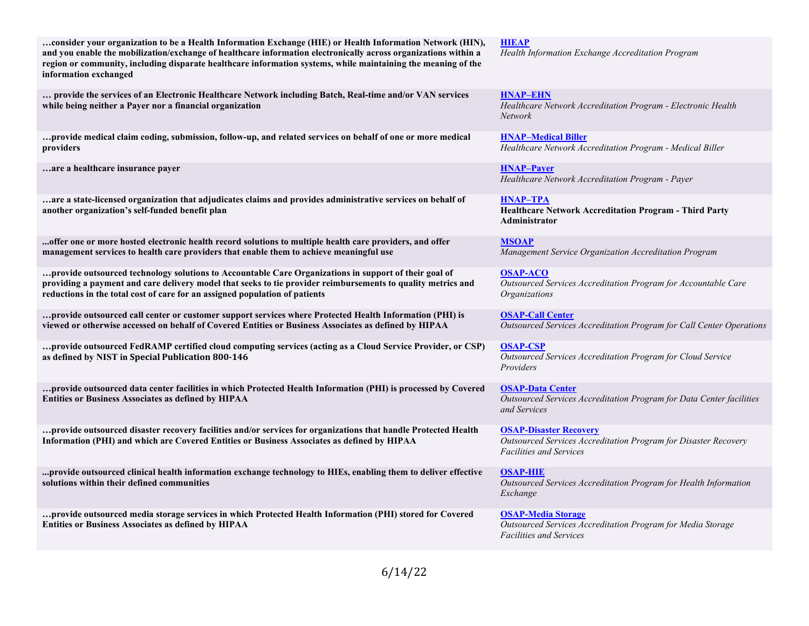| consider your organization to be a Health Information Exchange (HIE) or Health Information Network (HIN),<br>and you enable the mobilization/exchange of healthcare information electronically across organizations within a<br>region or community, including disparate healthcare information systems, while maintaining the meaning of the<br>information exchanged | <b>HIEAP</b><br>Health Information Exchange Accreditation Program                                                                  |
|------------------------------------------------------------------------------------------------------------------------------------------------------------------------------------------------------------------------------------------------------------------------------------------------------------------------------------------------------------------------|------------------------------------------------------------------------------------------------------------------------------------|
| provide the services of an Electronic Healthcare Network including Batch, Real-time and/or VAN services<br>while being neither a Payer nor a financial organization                                                                                                                                                                                                    | <b>HNAP-EHN</b><br>Healthcare Network Accreditation Program - Electronic Health<br><b>Network</b>                                  |
| provide medical claim coding, submission, follow-up, and related services on behalf of one or more medical<br>providers                                                                                                                                                                                                                                                | <b>HNAP-Medical Biller</b><br>Healthcare Network Accreditation Program - Medical Biller                                            |
| are a healthcare insurance payer.                                                                                                                                                                                                                                                                                                                                      | <b>HNAP-Payer</b><br>Healthcare Network Accreditation Program - Payer                                                              |
| are a state-licensed organization that adjudicates claims and provides administrative services on behalf of<br>another organization's self-funded benefit plan                                                                                                                                                                                                         | HNAP-TPA<br>Healthcare Network Accreditation Program - Third Party<br>Administrator                                                |
| offer one or more hosted electronic health record solutions to multiple health care providers, and offer<br>management services to health care providers that enable them to achieve meaningful use                                                                                                                                                                    | <b>MSOAP</b><br>Management Service Organization Accreditation Program                                                              |
| provide outsourced technology solutions to Accountable Care Organizations in support of their goal of<br>providing a payment and care delivery model that seeks to tie provider reimbursements to quality metrics and<br>reductions in the total cost of care for an assigned population of patients                                                                   | <b>OSAP-ACO</b><br>Outsourced Services Accreditation Program for Accountable Care<br><i><b>Organizations</b></i>                   |
| provide outsourced call center or customer support services where Protected Health Information (PHI) is<br>viewed or otherwise accessed on behalf of Covered Entities or Business Associates as defined by HIPAA                                                                                                                                                       | <b>OSAP-Call Center</b><br>Outsourced Services Accreditation Program for Call Center Operations                                    |
| provide outsourced FedRAMP certified cloud computing services (acting as a Cloud Service Provider, or CSP)<br>as defined by NIST in Special Publication 800-146                                                                                                                                                                                                        | <b>OSAP-CSP</b><br>Outsourced Services Accreditation Program for Cloud Service<br>Providers                                        |
| provide outsourced data center facilities in which Protected Health Information (PHI) is processed by Covered<br>Entities or Business Associates as defined by HIPAA                                                                                                                                                                                                   | <b>OSAP-Data Center</b><br>Outsourced Services Accreditation Program for Data Center facilities<br>and Services                    |
| provide outsourced disaster recovery facilities and/or services for organizations that handle Protected Health<br>Information (PHI) and which are Covered Entities or Business Associates as defined by HIPAA                                                                                                                                                          | <b>OSAP-Disaster Recovery</b><br>Outsourced Services Accreditation Program for Disaster Recovery<br><b>Facilities and Services</b> |
| provide outsourced clinical health information exchange technology to HIEs, enabling them to deliver effective<br>solutions within their defined communities                                                                                                                                                                                                           | <b>OSAP-HIE</b><br>Outsourced Services Accreditation Program for Health Information<br>Exchange                                    |
| provide outsourced media storage services in which Protected Health Information (PHI) stored for Covered<br><b>Entities or Business Associates as defined by HIPAA</b>                                                                                                                                                                                                 | <b>OSAP-Media Storage</b><br>Outsourced Services Accreditation Program for Media Storage<br><b>Facilities and Services</b>         |